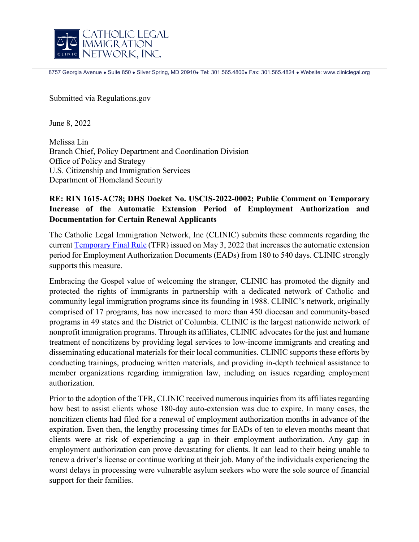

8757 Georgia Avenue · Suite 850 · Silver Spring, MD 20910 · Tel: 301.565.4800 · Fax: 301.565.4824 · Website: www.cliniclegal.org

Submitted via Regulations.gov

June 8, 2022

Melissa Lin Branch Chief, Policy Department and Coordination Division Office of Policy and Strategy U.S. Citizenship and Immigration Services Department of Homeland Security

## **RE: RIN 1615-AC78; DHS Docket No. USCIS-2022-0002; Public Comment on Temporary Increase of the Automatic Extension Period of Employment Authorization and Documentation for Certain Renewal Applicants**

The Catholic Legal Immigration Network, Inc (CLINIC) submits these comments regarding the current [Temporary Final Rule](https://www.federalregister.gov/documents/2022/05/04/2022-09539/temporary-increase-of-the-automatic-extension-period-of-employment-authorization-and-documentation) (TFR) issued on May 3, 2022 that increases the automatic extension period for Employment Authorization Documents (EADs) from 180 to 540 days. CLINIC strongly supports this measure.

Embracing the Gospel value of welcoming the stranger, CLINIC has promoted the dignity and protected the rights of immigrants in partnership with a dedicated network of Catholic and community legal immigration programs since its founding in 1988. CLINIC's network, originally comprised of 17 programs, has now increased to more than 450 diocesan and community-based programs in 49 states and the District of Columbia. CLINIC is the largest nationwide network of nonprofit immigration programs. Through its affiliates, CLINIC advocates for the just and humane treatment of noncitizens by providing legal services to low-income immigrants and creating and disseminating educational materials for their local communities. CLINIC supports these efforts by conducting trainings, producing written materials, and providing in-depth technical assistance to member organizations regarding immigration law, including on issues regarding employment authorization.

Prior to the adoption of the TFR, CLINIC received numerous inquiries from its affiliates regarding how best to assist clients whose 180-day auto-extension was due to expire. In many cases, the noncitizen clients had filed for a renewal of employment authorization months in advance of the expiration. Even then, the lengthy processing times for EADs of ten to eleven months meant that clients were at risk of experiencing a gap in their employment authorization. Any gap in employment authorization can prove devastating for clients. It can lead to their being unable to renew a driver's license or continue working at their job. Many of the individuals experiencing the worst delays in processing were vulnerable asylum seekers who were the sole source of financial support for their families.